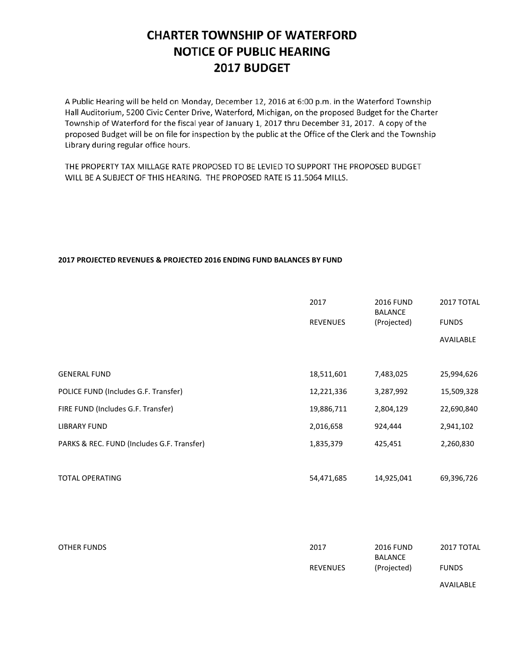# **CHARTER TOWNSHIP OF WATERFORD NOTICE OF PUBLIC HEARING** 2017 BUDGET

A Public Hearing will be held on Monday, December 12, 2016 at 6:00 p.m. in the Waterford Township Hall Auditorium, 5200 Civic Center Drive, Waterford, Michigan, on the proposed Budget for the Charter Township of Waterford for the fiscal year of January 1, 2017 thru December 31, 2017. A copy of the proposed Budget will be on file for inspection by the public at the Office of the Clerk and the Township Library during regular office hours.

THE PROPERTY TAX MILLAGE RATE PROPOSED TO BE LEVIED TO SUPPORT THE PROPOSED BUDGET WILL BE A SUBJECT OF THIS HEARING. THE PROPOSED RATE IS 11.5064 MILLS.

## **2017 PROJECTED REVENUES & PROJECTED 2016 ENDING FUND BALANCES BY FUND**

|                                            | 2017            | <b>2016 FUND</b><br><b>BALANCE</b> | 2017 TOTAL   |
|--------------------------------------------|-----------------|------------------------------------|--------------|
|                                            | <b>REVENUES</b> | (Projected)                        | <b>FUNDS</b> |
|                                            |                 |                                    | AVAILABLE    |
|                                            |                 |                                    |              |
| <b>GENERAL FUND</b>                        | 18,511,601      | 7,483,025                          | 25,994,626   |
| POLICE FUND (Includes G.F. Transfer)       | 12,221,336      | 3,287,992                          | 15,509,328   |
| FIRE FUND (Includes G.F. Transfer)         | 19,886,711      | 2,804,129                          | 22,690,840   |
| <b>LIBRARY FUND</b>                        | 2,016,658       | 924,444                            | 2,941,102    |
| PARKS & REC. FUND (Includes G.F. Transfer) | 1,835,379       | 425,451                            | 2,260,830    |
|                                            |                 |                                    |              |
| <b>TOTAL OPERATING</b>                     | 54,471,685      | 14,925,041                         | 69,396,726   |

| OTHER FUNDS | 2017            | <b>2016 FUND</b><br>BALANCE | 2017 TOTAL   |
|-------------|-----------------|-----------------------------|--------------|
|             | <b>REVENUES</b> | (Projected)                 | <b>FUNDS</b> |
|             |                 |                             | AVAILABLE    |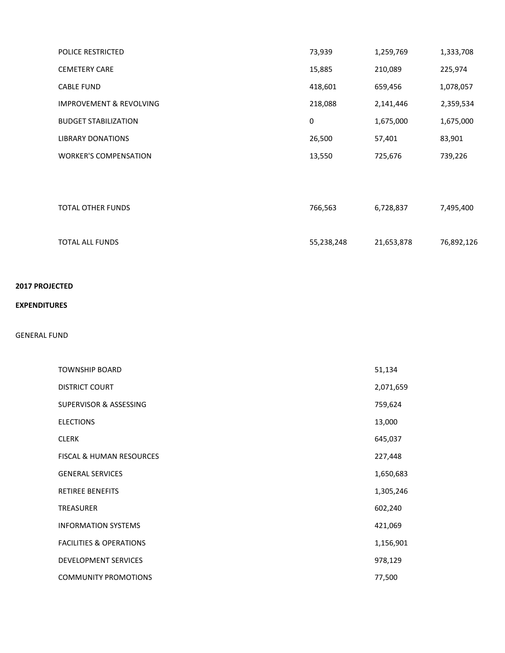| <b>POLICE RESTRICTED</b>           | 73,939  | 1,259,769 | 1,333,708 |
|------------------------------------|---------|-----------|-----------|
| <b>CEMETERY CARE</b>               | 15,885  | 210,089   | 225,974   |
| <b>CABLE FUND</b>                  | 418,601 | 659,456   | 1,078,057 |
| <b>IMPROVEMENT &amp; REVOLVING</b> | 218,088 | 2,141,446 | 2,359,534 |
| <b>BUDGET STABILIZATION</b>        | 0       | 1,675,000 | 1,675,000 |
| <b>LIBRARY DONATIONS</b>           | 26,500  | 57,401    | 83,901    |
| <b>WORKER'S COMPENSATION</b>       | 13,550  | 725,676   | 739,226   |
|                                    |         |           |           |
|                                    |         |           |           |
| <b>TOTAL OTHER FUNDS</b>           | 766,563 | 6,728,837 | 7,495,400 |

| TOTAL ALL FUNDS | 55,238,248 | 21,653,878 | 76,892,126 |
|-----------------|------------|------------|------------|

## **2017 PROJECTED**

### **EXPENDITURES**

#### GENERAL FUND

| <b>TOWNSHIP BOARD</b>               | 51,134    |
|-------------------------------------|-----------|
| <b>DISTRICT COURT</b>               | 2,071,659 |
| SUPERVISOR & ASSESSING              | 759,624   |
| <b>ELECTIONS</b>                    | 13,000    |
| <b>CLERK</b>                        | 645,037   |
| <b>FISCAL &amp; HUMAN RESOURCES</b> | 227,448   |
| <b>GENERAL SERVICES</b>             | 1,650,683 |
| <b>RETIREE BENEFITS</b>             | 1,305,246 |
| <b>TREASURER</b>                    | 602,240   |
| <b>INFORMATION SYSTEMS</b>          | 421,069   |
| <b>FACILITIES &amp; OPERATIONS</b>  | 1,156,901 |
| <b>DEVELOPMENT SERVICES</b>         | 978,129   |
| <b>COMMUNITY PROMOTIONS</b>         | 77,500    |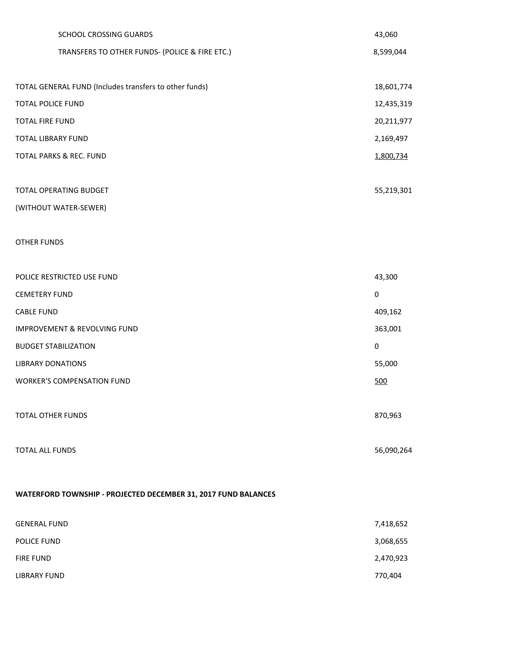| SCHOOL CROSSING GUARDS                                         | 43,060     |
|----------------------------------------------------------------|------------|
| TRANSFERS TO OTHER FUNDS- (POLICE & FIRE ETC.)                 | 8,599,044  |
|                                                                |            |
| TOTAL GENERAL FUND (Includes transfers to other funds)         | 18,601,774 |
| <b>TOTAL POLICE FUND</b>                                       | 12,435,319 |
| <b>TOTAL FIRE FUND</b>                                         | 20,211,977 |
| <b>TOTAL LIBRARY FUND</b>                                      | 2,169,497  |
| TOTAL PARKS & REC. FUND                                        | 1,800,734  |
|                                                                |            |
| TOTAL OPERATING BUDGET                                         | 55,219,301 |
| (WITHOUT WATER-SEWER)                                          |            |
|                                                                |            |
| <b>OTHER FUNDS</b>                                             |            |
|                                                                |            |
| POLICE RESTRICTED USE FUND                                     | 43,300     |
| <b>CEMETERY FUND</b>                                           | $\pmb{0}$  |
| <b>CABLE FUND</b>                                              | 409,162    |
| <b>IMPROVEMENT &amp; REVOLVING FUND</b>                        | 363,001    |
| <b>BUDGET STABILIZATION</b>                                    | $\pmb{0}$  |
| <b>LIBRARY DONATIONS</b>                                       | 55,000     |
| <b>WORKER'S COMPENSATION FUND</b>                              | 500        |
|                                                                |            |
| <b>TOTAL OTHER FUNDS</b>                                       | 870,963    |
|                                                                |            |
| <b>TOTAL ALL FUNDS</b>                                         | 56,090,264 |
|                                                                |            |
| WATERFORD TOWNSHIP - PROJECTED DECEMBER 31, 2017 FUND BALANCES |            |
|                                                                |            |
| <b>GENERAL FUND</b>                                            | 7,418,652  |
| POLICE FUND                                                    | 3,068,655  |
| <b>FIRE FUND</b>                                               | 2,470,923  |

LIBRARY FUND 770,404